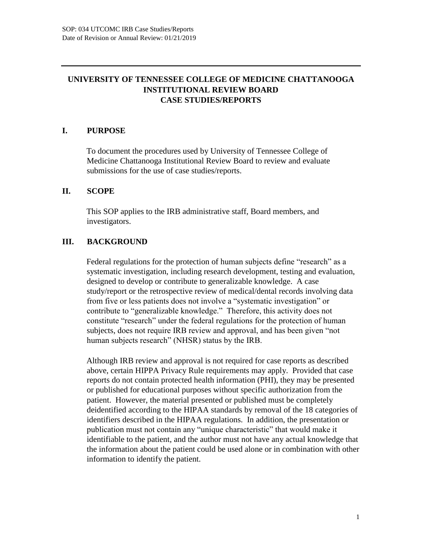# **UNIVERSITY OF TENNESSEE COLLEGE OF MEDICINE CHATTANOOGA INSTITUTIONAL REVIEW BOARD CASE STUDIES/REPORTS**

## **I. PURPOSE**

To document the procedures used by University of Tennessee College of Medicine Chattanooga Institutional Review Board to review and evaluate submissions for the use of case studies/reports.

### **II. SCOPE**

This SOP applies to the IRB administrative staff, Board members, and investigators.

## **III. BACKGROUND**

Federal regulations for the protection of human subjects define "research" as a systematic investigation, including research development, testing and evaluation, designed to develop or contribute to generalizable knowledge. A case study/report or the retrospective review of medical/dental records involving data from five or less patients does not involve a "systematic investigation" or contribute to "generalizable knowledge." Therefore, this activity does not constitute "research" under the federal regulations for the protection of human subjects, does not require IRB review and approval, and has been given "not human subjects research" (NHSR) status by the IRB.

Although IRB review and approval is not required for case reports as described above, certain HIPPA Privacy Rule requirements may apply. Provided that case reports do not contain protected health information (PHI), they may be presented or published for educational purposes without specific authorization from the patient. However, the material presented or published must be completely deidentified according to the HIPAA standards by removal of the 18 categories of identifiers described in the HIPAA regulations. In addition, the presentation or publication must not contain any "unique characteristic" that would make it identifiable to the patient, and the author must not have any actual knowledge that the information about the patient could be used alone or in combination with other information to identify the patient.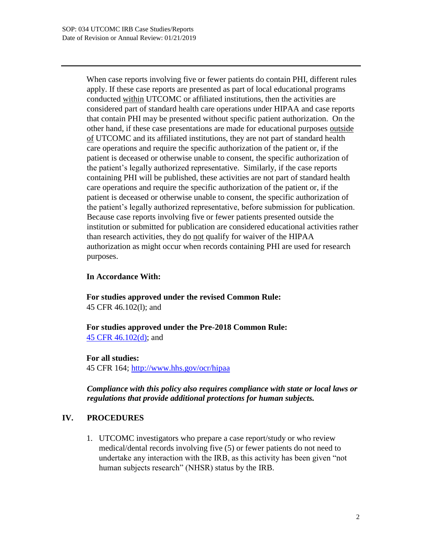When case reports involving five or fewer patients do contain PHI, different rules apply. If these case reports are presented as part of local educational programs conducted within UTCOMC or affiliated institutions, then the activities are considered part of standard health care operations under HIPAA and case reports that contain PHI may be presented without specific patient authorization. On the other hand, if these case presentations are made for educational purposes outside of UTCOMC and its affiliated institutions, they are not part of standard health care operations and require the specific authorization of the patient or, if the patient is deceased or otherwise unable to consent, the specific authorization of the patient's legally authorized representative. Similarly, if the case reports containing PHI will be published, these activities are not part of standard health care operations and require the specific authorization of the patient or, if the patient is deceased or otherwise unable to consent, the specific authorization of the patient's legally authorized representative, before submission for publication. Because case reports involving five or fewer patients presented outside the institution or submitted for publication are considered educational activities rather than research activities, they do not qualify for waiver of the HIPAA authorization as might occur when records containing PHI are used for research purposes.

#### **In Accordance With:**

**For studies approved under the revised Common Rule:**  45 CFR 46.102(l); and

**For studies approved under the Pre-2018 Common Rule:**  45 CFR 46.102(d); and

#### **For all studies:**

45 CFR 164; http://www.hhs.gov/ocr/hipaa

*Compliance with this policy also requires compliance with state or local laws or regulations that provide additional protections for human subjects.* 

#### **IV. PROCEDURES**

1. UTCOMC investigators who prepare a case report/study or who review medical/dental records involving five (5) or fewer patients do not need to undertake any interaction with the IRB, as this activity has been given "not human subjects research" (NHSR) status by the IRB.